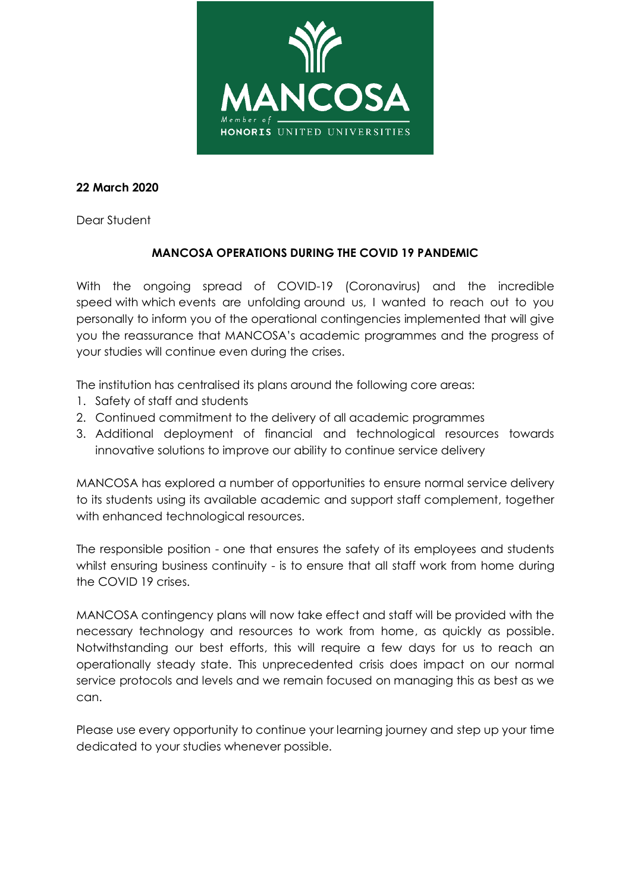

### **22 March 2020**

Dear Student

# **MANCOSA OPERATIONS DURING THE COVID 19 PANDEMIC**

With the ongoing spread of COVID-19 (Coronavirus) and the incredible speed with which events are unfolding around us, I wanted to reach out to you personally to inform you of the operational contingencies implemented that will give you the reassurance that MANCOSA's academic programmes and the progress of your studies will continue even during the crises.

The institution has centralised its plans around the following core areas:

- 1. Safety of staff and students
- 2. Continued commitment to the delivery of all academic programmes
- 3. Additional deployment of financial and technological resources towards innovative solutions to improve our ability to continue service delivery

MANCOSA has explored a number of opportunities to ensure normal service delivery to its students using its available academic and support staff complement, together with enhanced technological resources.

The responsible position - one that ensures the safety of its employees and students whilst ensuring business continuity - is to ensure that all staff work from home during the COVID 19 crises.

MANCOSA contingency plans will now take effect and staff will be provided with the necessary technology and resources to work from home, as quickly as possible. Notwithstanding our best efforts, this will require a few days for us to reach an operationally steady state. This unprecedented crisis does impact on our normal service protocols and levels and we remain focused on managing this as best as we can.

Please use every opportunity to continue your learning journey and step up your time dedicated to your studies whenever possible.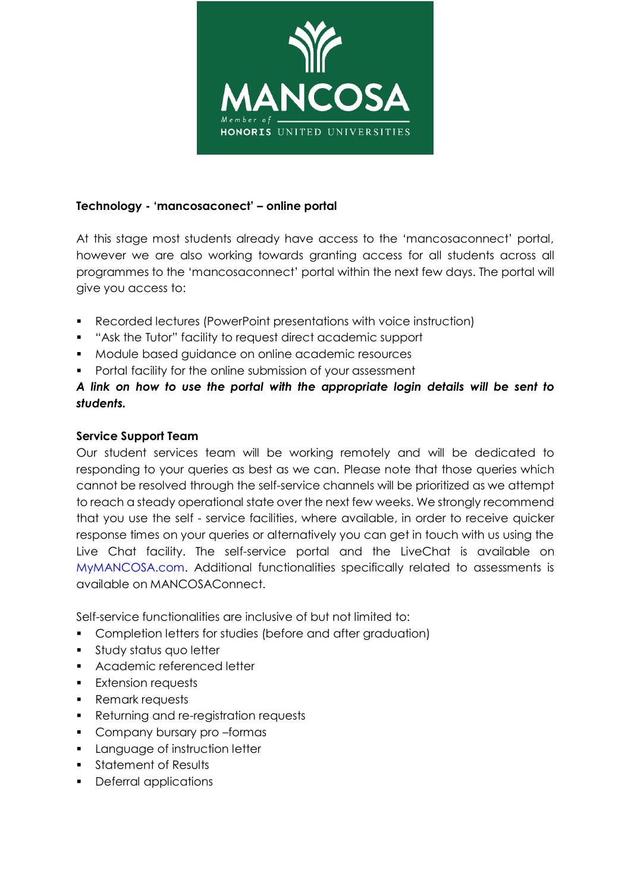

### **Technology - 'mancosaconect' – online portal**

At this stage most students already have access to the 'mancosaconnect' portal, however we are also working towards granting access for all students across all programmes to the 'mancosaconnect' portal within the next few days. The portal will give you access to:

- Recorded lectures (PowerPoint presentations with voice instruction)
- "Ask the Tutor" facility to request direct academic support
- Module based guidance on online academic resources
- **•** Portal facility for the online submission of your assessment

## *A link on how to use the portal with the appropriate login details will be sent to students.*

#### **Service Support Team**

Our student services team will be working remotely and will be dedicated to responding to your queries as best as we can. Please note that those queries which cannot be resolved through the self-service channels will be prioritized as we attempt to reach a steady operational state over the next few weeks. We strongly recommend that you use the self - service facilities, where available, in order to receive quicker response times on your queries or alternatively you can get in touch with us using the Live Chat facility. The self-service portal and the LiveChat is available on MyMANCOSA.com. Additional functionalities specifically related to assessments is available on MANCOSAConnect.

Self-service functionalities are inclusive of but not limited to:

- **Completion letters for studies (before and after graduation)**
- **Study status quo letter**
- **Academic referenced letter**
- **Extension requests**
- Remark requests
- **Returning and re-registration requests**
- **Company bursary pro-formas**
- **Language of instruction letter**
- **Statement of Results**
- Deferral applications